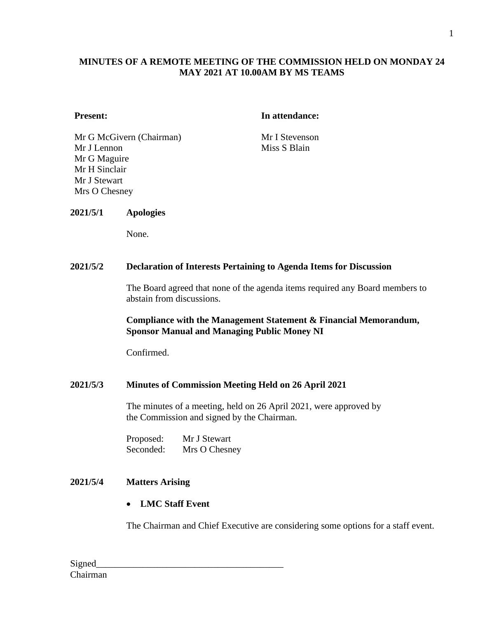# **MINUTES OF A REMOTE MEETING OF THE COMMISSION HELD ON MONDAY 24 MAY 2021 AT 10.00AM BY MS TEAMS**

#### **Present: In attendance:**

Mr G McGivern (Chairman) Mr I Stevenson Mr J Lennon Mr G Maguire Mr H Sinclair Mr J Stewart Mrs O Chesney

Miss S Blain

#### **2021/5/1 Apologies**

None.

#### **2021/5/2 Declaration of Interests Pertaining to Agenda Items for Discussion**

The Board agreed that none of the agenda items required any Board members to abstain from discussions.

#### **Compliance with the Management Statement & Financial Memorandum, Sponsor Manual and Managing Public Money NI**

Confirmed.

#### **2021/5/3 Minutes of Commission Meeting Held on 26 April 2021**

The minutes of a meeting, held on 26 April 2021, were approved by the Commission and signed by the Chairman.

Proposed: Mr J Stewart Seconded: Mrs O Chesney

### **2021/5/4 Matters Arising**

• **LMC Staff Event**

The Chairman and Chief Executive are considering some options for a staff event.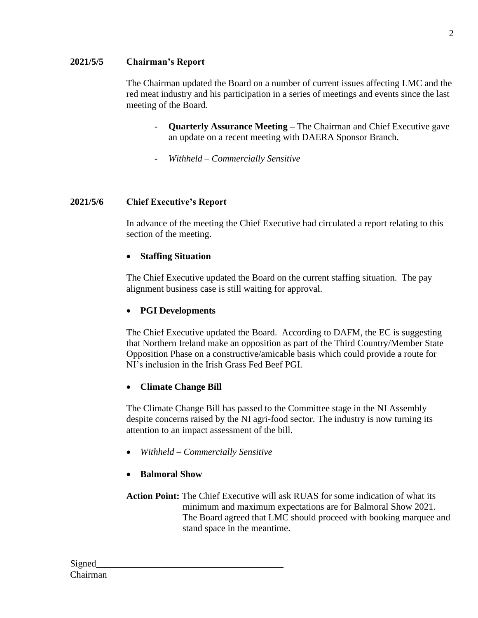## **2021/5/5 Chairman's Report**

The Chairman updated the Board on a number of current issues affecting LMC and the red meat industry and his participation in a series of meetings and events since the last meeting of the Board.

- **Quarterly Assurance Meeting The Chairman and Chief Executive gave** an update on a recent meeting with DAERA Sponsor Branch.
- *Withheld – Commercially Sensitive*

# **2021/5/6 Chief Executive's Report**

In advance of the meeting the Chief Executive had circulated a report relating to this section of the meeting.

#### • **Staffing Situation**

The Chief Executive updated the Board on the current staffing situation. The pay alignment business case is still waiting for approval.

### • **PGI Developments**

The Chief Executive updated the Board. According to DAFM, the EC is suggesting that Northern Ireland make an opposition as part of the Third Country/Member State Opposition Phase on a constructive/amicable basis which could provide a route for NI's inclusion in the Irish Grass Fed Beef PGI.

#### • **Climate Change Bill**

The Climate Change Bill has passed to the Committee stage in the NI Assembly despite concerns raised by the NI agri-food sector. The industry is now turning its attention to an impact assessment of the bill.

- *Withheld – Commercially Sensitive*
- **Balmoral Show**

**Action Point:** The Chief Executive will ask RUAS for some indication of what its minimum and maximum expectations are for Balmoral Show 2021. The Board agreed that LMC should proceed with booking marquee and stand space in the meantime.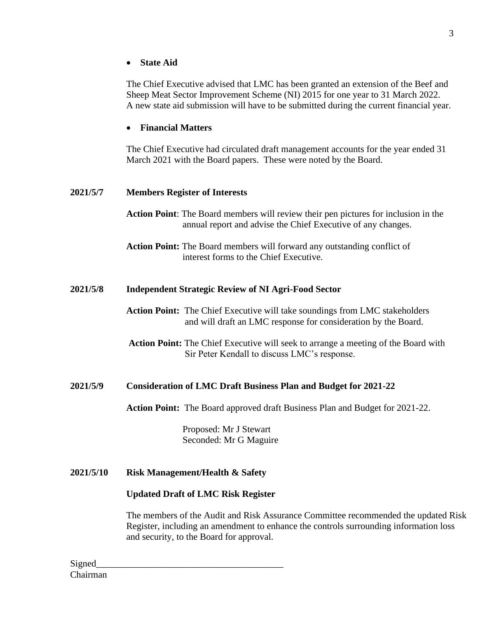• **State Aid**

The Chief Executive advised that LMC has been granted an extension of the Beef and Sheep Meat Sector Improvement Scheme (NI) 2015 for one year to 31 March 2022. A new state aid submission will have to be submitted during the current financial year.

# • **Financial Matters**

The Chief Executive had circulated draft management accounts for the year ended 31 March 2021 with the Board papers. These were noted by the Board.

# **2021/5/7 Members Register of Interests**

**Action Point**: The Board members will review their pen pictures for inclusion in the annual report and advise the Chief Executive of any changes.

**Action Point:** The Board members will forward any outstanding conflict of interest forms to the Chief Executive.

## **2021/5/8 Independent Strategic Review of NI Agri-Food Sector**

- **Action Point:** The Chief Executive will take soundings from LMC stakeholders and will draft an LMC response for consideration by the Board.
- **Action Point:** The Chief Executive will seek to arrange a meeting of the Board with Sir Peter Kendall to discuss LMC's response.

# **2021/5/9 Consideration of LMC Draft Business Plan and Budget for 2021-22**

**Action Point:** The Board approved draft Business Plan and Budget for 2021-22.

Proposed: Mr J Stewart Seconded: Mr G Maguire

**2021/5/10 Risk Management/Health & Safety**

#### **Updated Draft of LMC Risk Register**

The members of the Audit and Risk Assurance Committee recommended the updated Risk Register, including an amendment to enhance the controls surrounding information loss and security, to the Board for approval.